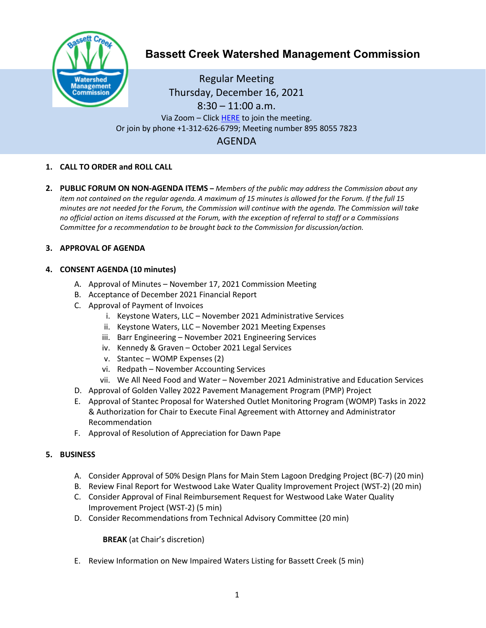

# **Bassett Creek Watershed Management Commission**

Regular Meeting Thursday, December 16, 2021  $8:30 - 11:00$  a.m. Via Zoom - Clic[k HERE](https://us02web.zoom.us/j/89580557823) to join the meeting. Or join by phone +1-312-626-6799; Meeting number 895 8055 7823 AGENDA

## **1. CALL TO ORDER and ROLL CALL**

**2. PUBLIC FORUM ON NON-AGENDA ITEMS –** *Members of the public may address the Commission about any item not contained on the regular agenda. A maximum of 15 minutes is allowed for the Forum. If the full 15 minutes are not needed for the Forum, the Commission will continue with the agenda. The Commission will take no official action on items discussed at the Forum, with the exception of referral to staff or a Commissions Committee for a recommendation to be brought back to the Commission for discussion/action.*

### **3. APPROVAL OF AGENDA**

### **4. CONSENT AGENDA (10 minutes)**

- A. Approval of Minutes November 17, 2021 Commission Meeting
- B. Acceptance of December 2021 Financial Report
- C. Approval of Payment of Invoices
	- i. Keystone Waters, LLC November 2021 Administrative Services
	- ii. Keystone Waters, LLC November 2021 Meeting Expenses
	- iii. Barr Engineering November 2021 Engineering Services
	- iv. Kennedy & Graven October 2021 Legal Services
	- v. Stantec WOMP Expenses (2)
	- vi. Redpath November Accounting Services
	- vii. We All Need Food and Water November 2021 Administrative and Education Services
- D. Approval of Golden Valley 2022 Pavement Management Program (PMP) Project
- E. Approval of Stantec Proposal for Watershed Outlet Monitoring Program (WOMP) Tasks in 2022 & Authorization for Chair to Execute Final Agreement with Attorney and Administrator Recommendation
- F. Approval of Resolution of Appreciation for Dawn Pape

### **5. BUSINESS**

- A. Consider Approval of 50% Design Plans for Main Stem Lagoon Dredging Project (BC-7) (20 min)
- B. Review Final Report for Westwood Lake Water Quality Improvement Project (WST-2) (20 min)
- C. Consider Approval of Final Reimbursement Request for Westwood Lake Water Quality Improvement Project (WST-2) (5 min)
- D. Consider Recommendations from Technical Advisory Committee (20 min)

**BREAK** (at Chair's discretion)

E. Review Information on New Impaired Waters Listing for Bassett Creek (5 min)